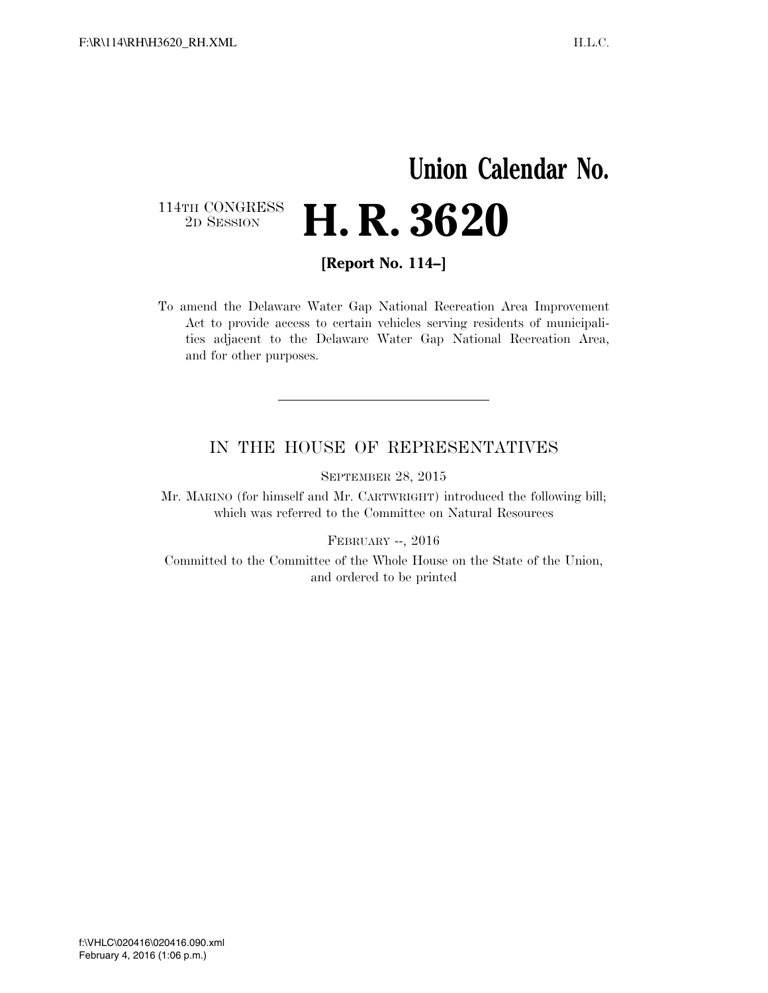## **Union Calendar No.**   $\begin{array}{c} \textbf{114TH CONGRESS} \\ \textbf{2D} \textbf{Session} \end{array}$ 2D SESSION **H. R. 3620**

**[Report No. 114–]** 

To amend the Delaware Water Gap National Recreation Area Improvement Act to provide access to certain vehicles serving residents of municipalities adjacent to the Delaware Water Gap National Recreation Area, and for other purposes.

#### IN THE HOUSE OF REPRESENTATIVES

SEPTEMBER 28, 2015

Mr. MARINO (for himself and Mr. CARTWRIGHT) introduced the following bill; which was referred to the Committee on Natural Resources

FEBRUARY --, 2016

Committed to the Committee of the Whole House on the State of the Union, and ordered to be printed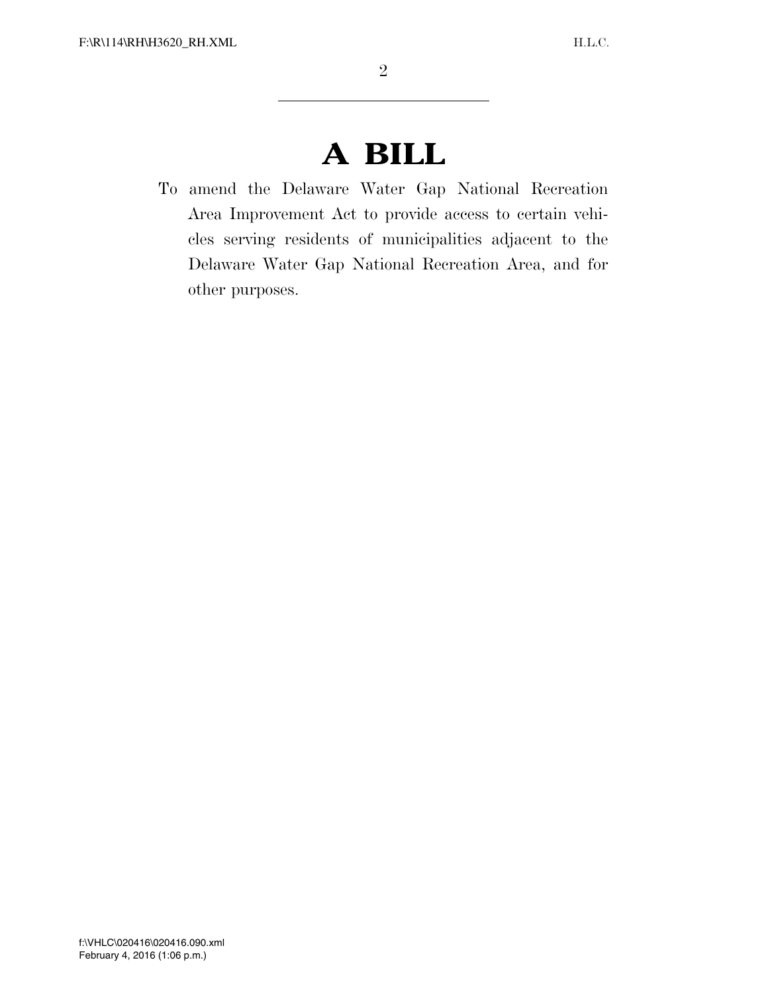# **A BILL**

To amend the Delaware Water Gap National Recreation Area Improvement Act to provide access to certain vehicles serving residents of municipalities adjacent to the Delaware Water Gap National Recreation Area, and for other purposes.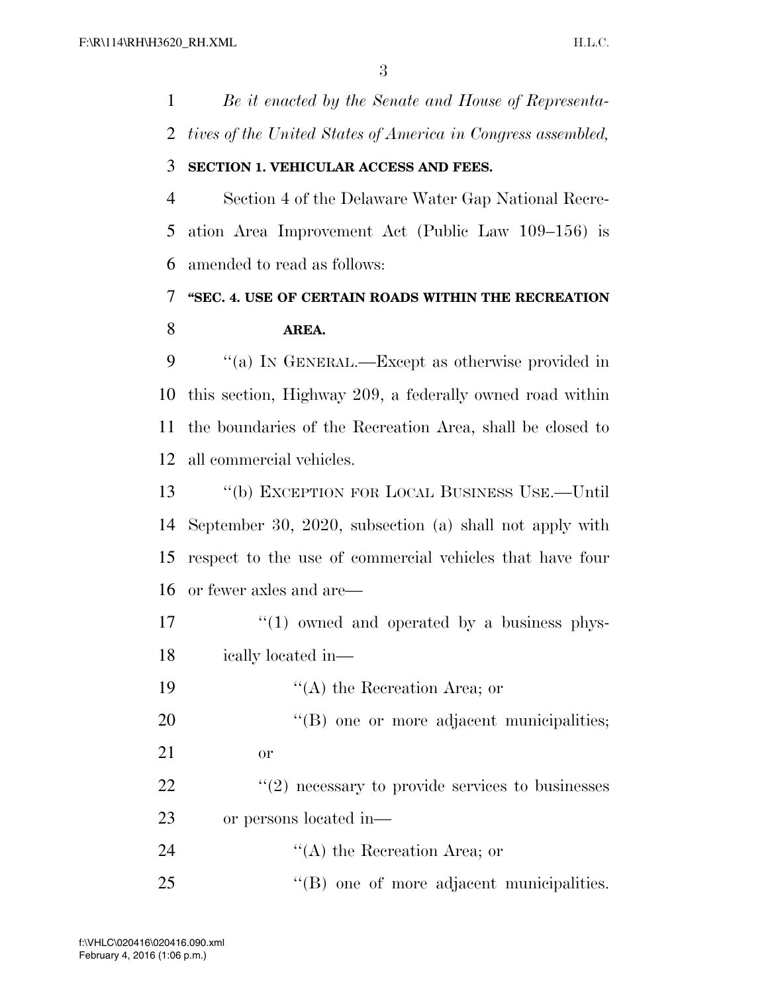*Be it enacted by the Senate and House of Representa-tives of the United States of America in Congress assembled,* 

#### **SECTION 1. VEHICULAR ACCESS AND FEES.**

 Section 4 of the Delaware Water Gap National Recre- ation Area Improvement Act (Public Law 109–156) is amended to read as follows:

### **''SEC. 4. USE OF CERTAIN ROADS WITHIN THE RECREATION AREA.**

 ''(a) IN GENERAL.—Except as otherwise provided in this section, Highway 209, a federally owned road within the boundaries of the Recreation Area, shall be closed to all commercial vehicles.

 ''(b) EXCEPTION FOR LOCAL BUSINESS USE.—Until September 30, 2020, subsection (a) shall not apply with respect to the use of commercial vehicles that have four or fewer axles and are—

- $\frac{17}{2}$  ''(1) owned and operated by a business phys-ically located in—
- 19 ''(A) the Recreation Area; or
- 20  $(8)$  one or more adjacent municipalities; or
	-
- $\frac{1}{22}$  ''(2) necessary to provide services to businesses or persons located in—

24 ''(A) the Recreation Area; or

''(B) one of more adjacent municipalities.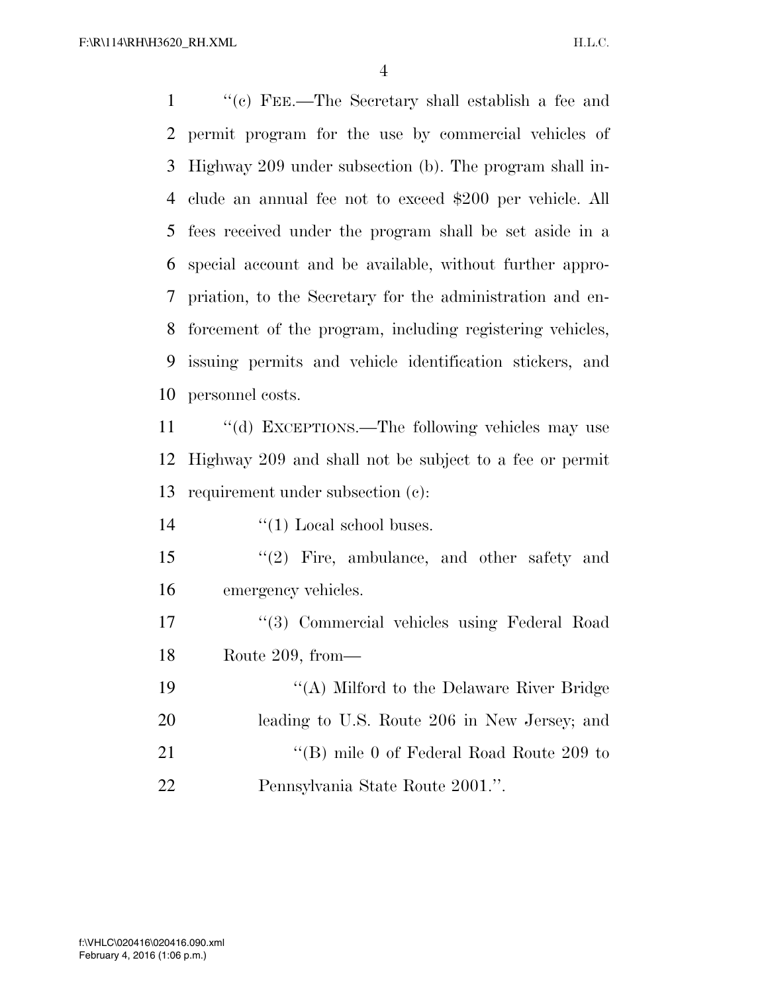''(c) FEE.—The Secretary shall establish a fee and permit program for the use by commercial vehicles of Highway 209 under subsection (b). The program shall in- clude an annual fee not to exceed \$200 per vehicle. All fees received under the program shall be set aside in a special account and be available, without further appro- priation, to the Secretary for the administration and en- forcement of the program, including registering vehicles, issuing permits and vehicle identification stickers, and personnel costs.

11 "(d) EXCEPTIONS.—The following vehicles may use Highway 209 and shall not be subject to a fee or permit requirement under subsection (c):

14  $\frac{1}{2}$   $\frac{1}{2}$  Local school buses.

 ''(2) Fire, ambulance, and other safety and emergency vehicles.

 ''(3) Commercial vehicles using Federal Road Route 209, from—

 ''(A) Milford to the Delaware River Bridge leading to U.S. Route 206 in New Jersey; and 21 "'(B) mile 0 of Federal Road Route 209 to Pennsylvania State Route 2001.''.